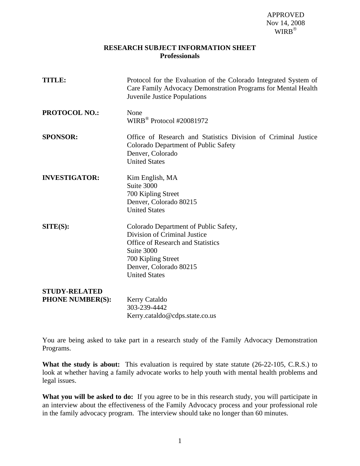## **RESEARCH SUBJECT INFORMATION SHEET Professionals**

| <b>TITLE:</b>                                   | Protocol for the Evaluation of the Colorado Integrated System of<br>Care Family Advocacy Demonstration Programs for Mental Health<br>Juvenile Justice Populations                                       |
|-------------------------------------------------|---------------------------------------------------------------------------------------------------------------------------------------------------------------------------------------------------------|
| <b>PROTOCOL NO.:</b>                            | None<br>WIRB <sup>®</sup> Protocol #20081972                                                                                                                                                            |
| <b>SPONSOR:</b>                                 | Office of Research and Statistics Division of Criminal Justice<br>Colorado Department of Public Safety<br>Denver, Colorado<br><b>United States</b>                                                      |
| <b>INVESTIGATOR:</b>                            | Kim English, MA<br>Suite 3000<br>700 Kipling Street<br>Denver, Colorado 80215<br><b>United States</b>                                                                                                   |
| SITE(S):                                        | Colorado Department of Public Safety,<br>Division of Criminal Justice<br><b>Office of Research and Statistics</b><br>Suite 3000<br>700 Kipling Street<br>Denver, Colorado 80215<br><b>United States</b> |
| <b>STUDY-RELATED</b><br><b>PHONE NUMBER(S):</b> | Kerry Cataldo<br>303-239-4442<br>Kerry.cataldo@cdps.state.co.us                                                                                                                                         |

You are being asked to take part in a research study of the Family Advocacy Demonstration Programs.

What the study is about: This evaluation is required by state statute (26-22-105, C.R.S.) to look at whether having a family advocate works to help youth with mental health problems and legal issues.

What you will be asked to do: If you agree to be in this research study, you will participate in an interview about the effectiveness of the Family Advocacy process and your professional role in the family advocacy program. The interview should take no longer than 60 minutes.